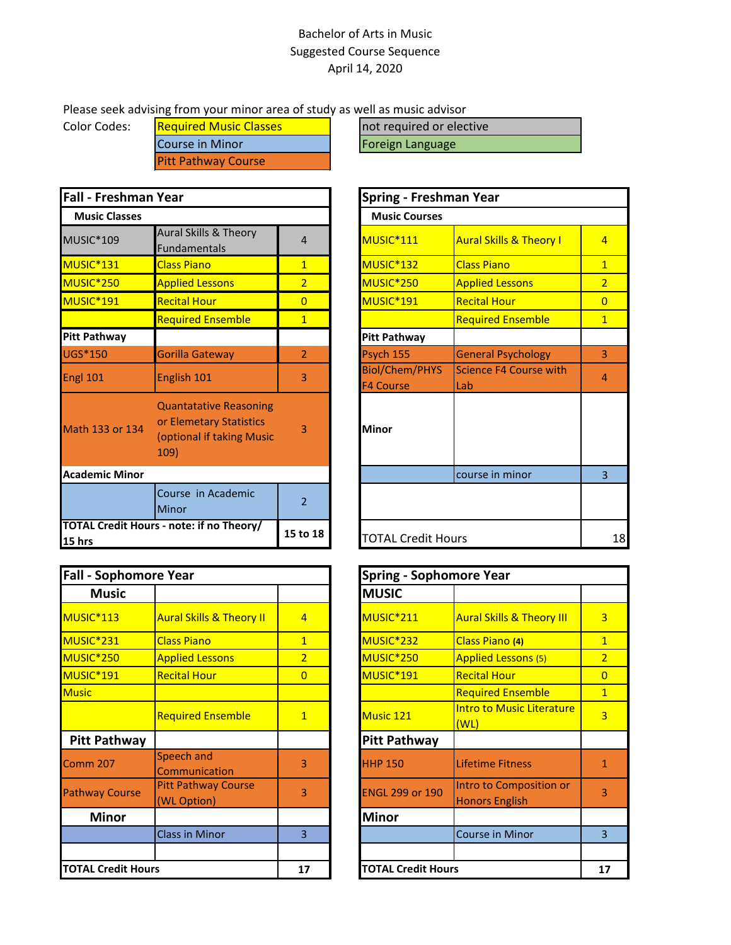## Bachelor of Arts in Music Suggested Course Sequence April 14, 2020

## Please seek advising from your minor area of study as well as music advisor

Color Codes: Required Music Classes and Required or elective Course in Minor **Foreign Language** Pitt Pathway Course

| <b>Fall - Freshman Year</b> |                                                                                               |                | <b>Spring - Freshman Year</b>             |                                    |                |
|-----------------------------|-----------------------------------------------------------------------------------------------|----------------|-------------------------------------------|------------------------------------|----------------|
| <b>Music Classes</b>        |                                                                                               |                | <b>Music Courses</b>                      |                                    |                |
| MUSIC*109                   | <b>Aural Skills &amp; Theory</b><br>Fundamentals                                              | 4              | MUSIC*111                                 | <b>Aural Skills &amp; Theory I</b> | $\overline{4}$ |
| MUSIC <sup>*</sup> 131      | <b>Class Piano</b>                                                                            | $\mathbf{1}$   | MUSIC*132                                 | <b>Class Piano</b>                 | $\overline{1}$ |
| MUSIC <sup>*</sup> 250      | <b>Applied Lessons</b>                                                                        | $\overline{2}$ | MUSIC <sup>*</sup> 250                    | <b>Applied Lessons</b>             | $\overline{2}$ |
| MUSIC <sup>*</sup> 191      | <b>Recital Hour</b>                                                                           | $\overline{0}$ | MUSIC*191                                 | <b>Recital Hour</b>                | $\overline{0}$ |
|                             | <b>Required Ensemble</b>                                                                      | $\overline{1}$ |                                           | <b>Required Ensemble</b>           | $\overline{1}$ |
| <b>Pitt Pathway</b>         |                                                                                               |                | <b>Pitt Pathway</b>                       |                                    |                |
| <b>UGS*150</b>              | <b>Gorilla Gateway</b>                                                                        | $\overline{2}$ | Psych 155                                 | <b>General Psychology</b>          | 3              |
| Engl 101                    | English 101                                                                                   | 3              | <b>Biol/Chem/PHYS</b><br><b>F4 Course</b> | Science F4 Course with<br>Lab      | $\overline{4}$ |
| Math 133 or 134             | <b>Quantatative Reasoning</b><br>or Elemetary Statistics<br>(optional if taking Music<br>109) | 3              | <b>Minor</b>                              |                                    |                |
| <b>Academic Minor</b>       |                                                                                               |                |                                           | course in minor                    | 3              |
|                             | Course in Academic<br>Minor                                                                   | $\overline{2}$ |                                           |                                    |                |
| 15 hrs                      | TOTAL Credit Hours - note: if no Theory/                                                      | 15 to 18       | <b>TOTAL Credit Hours</b>                 |                                    |                |

| <b>Fall - Sophomore Year</b> |                                           |                | Spring - Sophomore Year   |                                                  |  |
|------------------------------|-------------------------------------------|----------------|---------------------------|--------------------------------------------------|--|
| <b>Music</b>                 |                                           |                | <b>MUSIC</b>              |                                                  |  |
| MUSIC <sup>*</sup> 113       | <b>Aural Skills &amp; Theory II</b>       | $\overline{4}$ | MUSIC <sup>*</sup> 211    | <b>Aural Skills &amp; Theory III</b>             |  |
| MUSIC <sup>*</sup> 231       | <b>Class Piano</b>                        | $\mathbf{1}$   | MUSIC <sup>*</sup> 232    | Class Piano (4)                                  |  |
| MUSIC <sup>*</sup> 250       | <b>Applied Lessons</b>                    | $\overline{2}$ | MUSIC <sup>*</sup> 250    | <b>Applied Lessons (5)</b>                       |  |
| MUSIC*191                    | <b>Recital Hour</b>                       | $\overline{0}$ | MUSIC <sup>*</sup> 191    | <b>Recital Hour</b>                              |  |
| <b>Music</b>                 |                                           |                |                           | <b>Required Ensemble</b>                         |  |
|                              | <b>Required Ensemble</b>                  | $\mathbf{1}$   | Music 121                 | <b>Intro to Music Literature</b><br>(WL)         |  |
| <b>Pitt Pathway</b>          |                                           |                | <b>Pitt Pathway</b>       |                                                  |  |
| <b>Comm 207</b>              | Speech and<br>Communication               | 3              | <b>HHP 150</b>            | <b>Lifetime Fitness</b>                          |  |
| <b>Pathway Course</b>        | <b>Pitt Pathway Course</b><br>(WL Option) | 3              | <b>ENGL 299 or 190</b>    | Intro to Composition or<br><b>Honors English</b> |  |
| <b>Minor</b>                 |                                           |                | <b>Minor</b>              |                                                  |  |
|                              | <b>Class in Minor</b>                     | 3              |                           | Course in Minor                                  |  |
| <b>TOTAL Credit Hours</b>    |                                           | 17             | <b>TOTAL Credit Hours</b> |                                                  |  |

| Year                                                                                          |                          | <b>Spring - Freshman Year</b> |                                           |                                    |                       |  |  |
|-----------------------------------------------------------------------------------------------|--------------------------|-------------------------------|-------------------------------------------|------------------------------------|-----------------------|--|--|
|                                                                                               |                          |                               | <b>Music Courses</b>                      |                                    |                       |  |  |
| <b>Aural Skills &amp; Theory</b><br><b>Fundamentals</b>                                       | 4                        |                               | MUSIC*111                                 | <b>Aural Skills &amp; Theory I</b> | $\overline{4}$        |  |  |
| <b>Class Piano</b>                                                                            | $\overline{1}$           |                               | MUSIC*132                                 | <b>Class Piano</b>                 | $\overline{1}$        |  |  |
| <b>Applied Lessons</b>                                                                        | $\overline{2}$           |                               | MUSIC*250                                 | <b>Applied Lessons</b>             | $\overline{2}$        |  |  |
| <b>Recital Hour</b>                                                                           | $\Omega$                 |                               | MUSIC*191                                 | <b>Recital Hour</b>                | $\Omega$              |  |  |
| <b>Required Ensemble</b>                                                                      | $\overline{1}$           |                               |                                           | <b>Required Ensemble</b>           | $\overline{1}$        |  |  |
|                                                                                               |                          |                               | <b>Pitt Pathway</b>                       |                                    |                       |  |  |
| Gorilla Gateway                                                                               | $\overline{2}$           |                               | Psych 155                                 | <b>General Psychology</b>          | 3                     |  |  |
| English 101                                                                                   | $\overline{3}$           |                               | <b>Biol/Chem/PHYS</b><br><b>F4 Course</b> | Science F4 Course with<br>Lab      | $\boldsymbol{\Delta}$ |  |  |
| <b>Quantatative Reasoning</b><br>or Elemetary Statistics<br>(optional if taking Music<br>109) | 3                        |                               | <b>Minor</b>                              |                                    |                       |  |  |
|                                                                                               |                          |                               |                                           | course in minor                    | 3                     |  |  |
| Course in Academic<br>Minor                                                                   | $\overline{\phantom{a}}$ |                               |                                           |                                    |                       |  |  |
| s - note: if no Theory/                                                                       | 15 to 18                 |                               | <b>TOTAL Credit Hours</b>                 |                                    | 18                    |  |  |

| e Year                                    |                | <b>Spring - Sophomore Year</b> |                                                  |
|-------------------------------------------|----------------|--------------------------------|--------------------------------------------------|
|                                           |                | <b>MUSIC</b>                   |                                                  |
| <b>Aural Skills &amp; Theory II</b>       | $\overline{4}$ | MUSIC*211                      | <b>Aural Skills &amp; Theory III</b>             |
| <b>Class Piano</b>                        | $\mathbf{1}$   | MUSIC*232                      | Class Piano (4)                                  |
| <b>Applied Lessons</b>                    | $\overline{2}$ | MUSIC*250                      | <b>Applied Lessons (5)</b>                       |
| <b>Recital Hour</b>                       | $\overline{0}$ | MUSIC*191                      | <b>Recital Hour</b>                              |
|                                           |                |                                | <b>Required Ensemble</b>                         |
| <b>Required Ensemble</b>                  | $\mathbf{1}$   | <b>Music 121</b>               | <b>Intro to Music Literature</b><br>(WL)         |
|                                           |                | <b>Pitt Pathway</b>            |                                                  |
| <b>Speech and</b><br>Communication        | 3              | <b>HHP 150</b>                 | <b>Lifetime Fitness</b>                          |
| <b>Pitt Pathway Course</b><br>(WL Option) | 3              | <b>ENGL 299 or 190</b>         | Intro to Composition or<br><b>Honors English</b> |
|                                           |                | <b>Minor</b>                   |                                                  |
| <b>Class in Minor</b>                     | 3              |                                | <b>Course in Minor</b>                           |
|                                           | 17             | <b>TOTAL Credit Hours</b>      |                                                  |